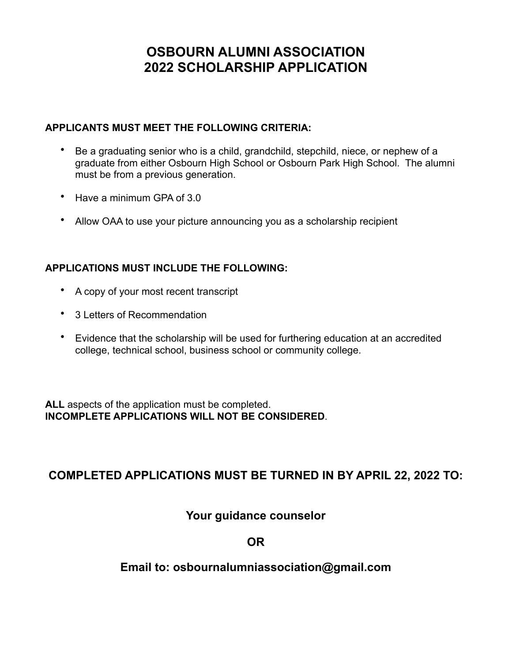## **OSBOURN ALUMNI ASSOCIATION 2022 SCHOLARSHIP APPLICATION**

#### **APPLICANTS MUST MEET THE FOLLOWING CRITERIA:**

- Be a graduating senior who is a child, grandchild, stepchild, niece, or nephew of a graduate from either Osbourn High School or Osbourn Park High School. The alumni must be from a previous generation.
- Have a minimum GPA of 3.0
- Allow OAA to use your picture announcing you as a scholarship recipient

#### **APPLICATIONS MUST INCLUDE THE FOLLOWING:**

- A copy of your most recent transcript
- 3 Letters of Recommendation
- Evidence that the scholarship will be used for furthering education at an accredited college, technical school, business school or community college.

**ALL** aspects of the application must be completed. **INCOMPLETE APPLICATIONS WILL NOT BE CONSIDERED**.

## **COMPLETED APPLICATIONS MUST BE TURNED IN BY APRIL 22, 2022 TO:**

### **Your guidance counselor**

**OR** 

### **Email to: osbournalumniassociation@gmail.com**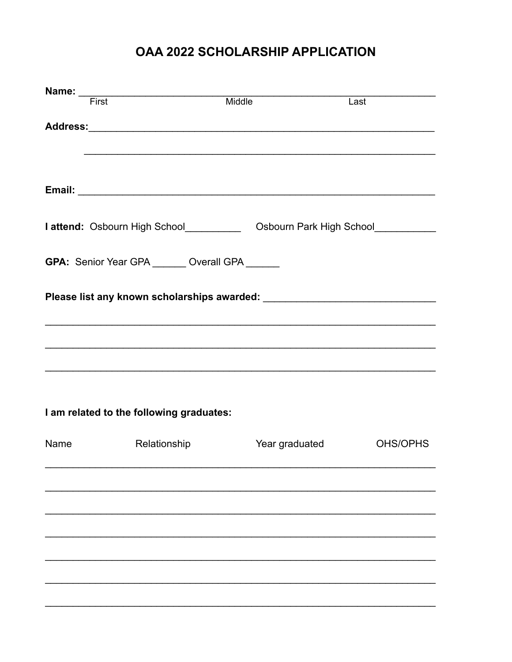# OAA 2022 SCHOLARSHIP APPLICATION

|                                                 | First                                                                            | Middle                                                                           | Last     |  |  |  |  |  |
|-------------------------------------------------|----------------------------------------------------------------------------------|----------------------------------------------------------------------------------|----------|--|--|--|--|--|
|                                                 |                                                                                  |                                                                                  |          |  |  |  |  |  |
|                                                 |                                                                                  |                                                                                  |          |  |  |  |  |  |
|                                                 |                                                                                  |                                                                                  |          |  |  |  |  |  |
|                                                 |                                                                                  | ,我们也不会有什么。""我们的人,我们也不会有什么?""我们的人,我们也不会有什么?""我们的人,我们也不会有什么?""我们的人,我们也不会有什么?""我们的人 |          |  |  |  |  |  |
|                                                 |                                                                                  |                                                                                  |          |  |  |  |  |  |
|                                                 |                                                                                  |                                                                                  |          |  |  |  |  |  |
|                                                 |                                                                                  |                                                                                  |          |  |  |  |  |  |
|                                                 |                                                                                  |                                                                                  |          |  |  |  |  |  |
|                                                 | I attend: Osbourn High School_______________ Osbourn Park High School___________ |                                                                                  |          |  |  |  |  |  |
|                                                 |                                                                                  |                                                                                  |          |  |  |  |  |  |
|                                                 |                                                                                  |                                                                                  |          |  |  |  |  |  |
| GPA: Senior Year GPA _______ Overall GPA ______ |                                                                                  |                                                                                  |          |  |  |  |  |  |
|                                                 |                                                                                  |                                                                                  |          |  |  |  |  |  |
|                                                 |                                                                                  |                                                                                  |          |  |  |  |  |  |
|                                                 |                                                                                  |                                                                                  |          |  |  |  |  |  |
|                                                 |                                                                                  |                                                                                  |          |  |  |  |  |  |
|                                                 |                                                                                  |                                                                                  |          |  |  |  |  |  |
|                                                 |                                                                                  |                                                                                  |          |  |  |  |  |  |
|                                                 | <u> 1989 - Johann Stoff, amerikansk politiker (d. 1989)</u>                      |                                                                                  |          |  |  |  |  |  |
|                                                 |                                                                                  |                                                                                  |          |  |  |  |  |  |
|                                                 |                                                                                  |                                                                                  |          |  |  |  |  |  |
|                                                 |                                                                                  |                                                                                  |          |  |  |  |  |  |
|                                                 | I am related to the following graduates:                                         |                                                                                  |          |  |  |  |  |  |
|                                                 |                                                                                  |                                                                                  |          |  |  |  |  |  |
| Name                                            | Relationship                                                                     | Year graduated                                                                   | OHS/OPHS |  |  |  |  |  |
|                                                 |                                                                                  |                                                                                  |          |  |  |  |  |  |
|                                                 |                                                                                  |                                                                                  |          |  |  |  |  |  |
|                                                 |                                                                                  |                                                                                  |          |  |  |  |  |  |
|                                                 |                                                                                  |                                                                                  |          |  |  |  |  |  |
|                                                 |                                                                                  |                                                                                  |          |  |  |  |  |  |
|                                                 |                                                                                  |                                                                                  |          |  |  |  |  |  |
|                                                 |                                                                                  |                                                                                  |          |  |  |  |  |  |
|                                                 |                                                                                  |                                                                                  |          |  |  |  |  |  |
|                                                 |                                                                                  |                                                                                  |          |  |  |  |  |  |
|                                                 |                                                                                  |                                                                                  |          |  |  |  |  |  |
|                                                 |                                                                                  |                                                                                  |          |  |  |  |  |  |
|                                                 |                                                                                  |                                                                                  |          |  |  |  |  |  |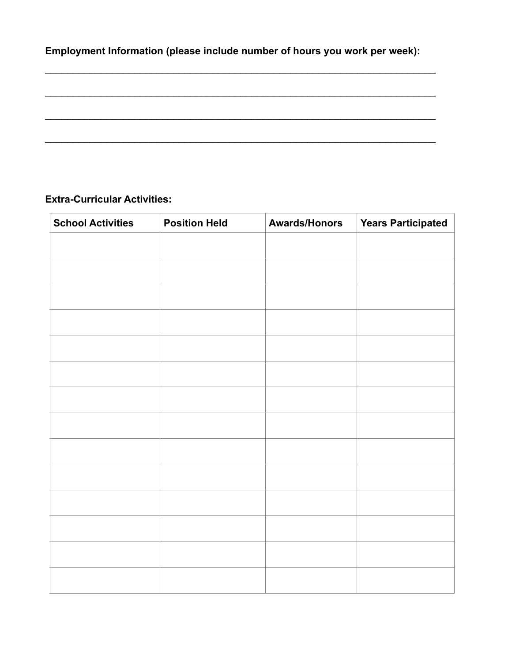**Employment Information (please include number of hours you work per week):**

 $\mathcal{L}_\text{max}$  and  $\mathcal{L}_\text{max}$  and  $\mathcal{L}_\text{max}$  and  $\mathcal{L}_\text{max}$  and  $\mathcal{L}_\text{max}$  and  $\mathcal{L}_\text{max}$ 

 $\mathcal{L}_\text{max} = \mathcal{L}_\text{max} = \mathcal{L}_\text{max} = \mathcal{L}_\text{max} = \mathcal{L}_\text{max} = \mathcal{L}_\text{max} = \mathcal{L}_\text{max} = \mathcal{L}_\text{max} = \mathcal{L}_\text{max} = \mathcal{L}_\text{max} = \mathcal{L}_\text{max} = \mathcal{L}_\text{max} = \mathcal{L}_\text{max} = \mathcal{L}_\text{max} = \mathcal{L}_\text{max} = \mathcal{L}_\text{max} = \mathcal{L}_\text{max} = \mathcal{L}_\text{max} = \mathcal{$ 

 $\mathcal{L}_\text{max}$  and  $\mathcal{L}_\text{max}$  and  $\mathcal{L}_\text{max}$  and  $\mathcal{L}_\text{max}$  and  $\mathcal{L}_\text{max}$  and  $\mathcal{L}_\text{max}$ 

 $\mathcal{L}_\text{max} = \mathcal{L}_\text{max} = \mathcal{L}_\text{max} = \mathcal{L}_\text{max} = \mathcal{L}_\text{max} = \mathcal{L}_\text{max} = \mathcal{L}_\text{max} = \mathcal{L}_\text{max} = \mathcal{L}_\text{max} = \mathcal{L}_\text{max} = \mathcal{L}_\text{max} = \mathcal{L}_\text{max} = \mathcal{L}_\text{max} = \mathcal{L}_\text{max} = \mathcal{L}_\text{max} = \mathcal{L}_\text{max} = \mathcal{L}_\text{max} = \mathcal{L}_\text{max} = \mathcal{$ 

#### **Extra-Curricular Activities:**

| <b>School Activities</b> | <b>Position Held</b> | <b>Awards/Honors</b> | <b>Years Participated</b> |
|--------------------------|----------------------|----------------------|---------------------------|
|                          |                      |                      |                           |
|                          |                      |                      |                           |
|                          |                      |                      |                           |
|                          |                      |                      |                           |
|                          |                      |                      |                           |
|                          |                      |                      |                           |
|                          |                      |                      |                           |
|                          |                      |                      |                           |
|                          |                      |                      |                           |
|                          |                      |                      |                           |
|                          |                      |                      |                           |
|                          |                      |                      |                           |
|                          |                      |                      |                           |
|                          |                      |                      |                           |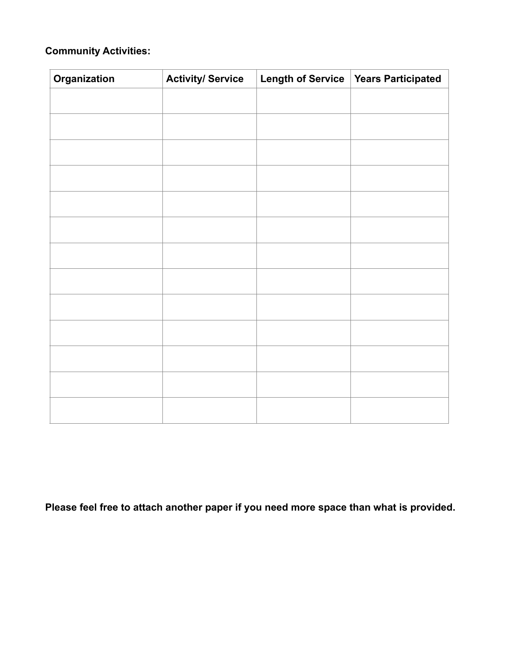## **Community Activities:**

| Organization | <b>Activity/ Service</b> | Length of Service   Years Participated |
|--------------|--------------------------|----------------------------------------|
|              |                          |                                        |
|              |                          |                                        |
|              |                          |                                        |
|              |                          |                                        |
|              |                          |                                        |
|              |                          |                                        |
|              |                          |                                        |
|              |                          |                                        |
|              |                          |                                        |
|              |                          |                                        |
|              |                          |                                        |
|              |                          |                                        |
|              |                          |                                        |

**Please feel free to attach another paper if you need more space than what is provided.**